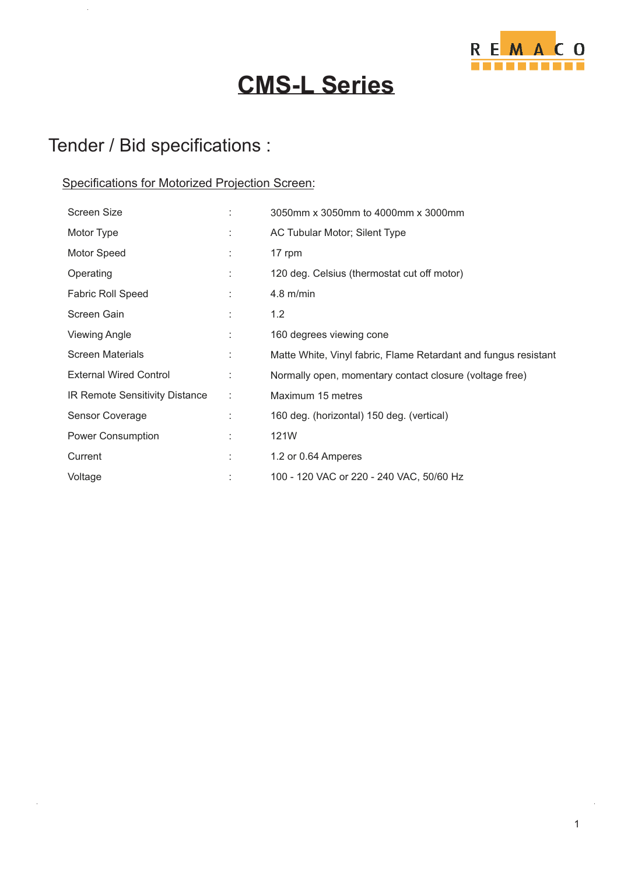

# **CMS-L Series**

## Tender / Bid specifications :

### Specifications for Motorized Projection Screen:

| <b>Screen Size</b>             |    | 3050mm x 3050mm to 4000mm x 3000mm                              |
|--------------------------------|----|-----------------------------------------------------------------|
| Motor Type                     |    | AC Tubular Motor; Silent Type                                   |
| Motor Speed                    | ÷  | 17 rpm                                                          |
| Operating                      | t  | 120 deg. Celsius (thermostat cut off motor)                     |
| <b>Fabric Roll Speed</b>       |    | $4.8$ m/min                                                     |
| Screen Gain                    |    | 1.2                                                             |
| <b>Viewing Angle</b>           | ÷  | 160 degrees viewing cone                                        |
| <b>Screen Materials</b>        | t. | Matte White, Vinyl fabric, Flame Retardant and fungus resistant |
| <b>External Wired Control</b>  | ÷  | Normally open, momentary contact closure (voltage free)         |
| IR Remote Sensitivity Distance | ÷  | Maximum 15 metres                                               |
| Sensor Coverage                |    | 160 deg. (horizontal) 150 deg. (vertical)                       |
| Power Consumption              | ÷  | 121W                                                            |
| Current                        | t  | 1.2 or 0.64 Amperes                                             |
| Voltage                        |    | 100 - 120 VAC or 220 - 240 VAC, 50/60 Hz                        |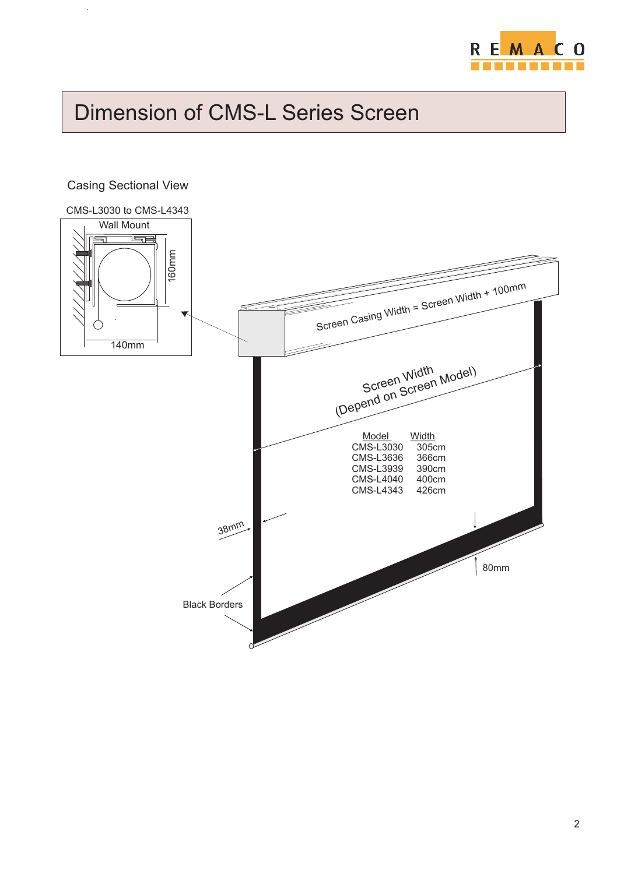

# Dimension of CMS-L Series Screen

### CMS-L3030 to CMS-L4343 Wall Mount الکا  $\equiv$ ε 16 0mScreen Casing Width = Screen Width + 100mm Screen Widt  $\lnot$ 140mmWidth el) Screen Wid Screen Mod (Depend on Model Width<br>MS-L3030 305cm CMS-L3030 305cm<br>CMS-L3636 366cm CMS-L3636 366cm CMS-L3939 390cm CMS-L4040 400cm  $CMS-L4343$ 38mm 80mm Black Borders

### Casing Sectional View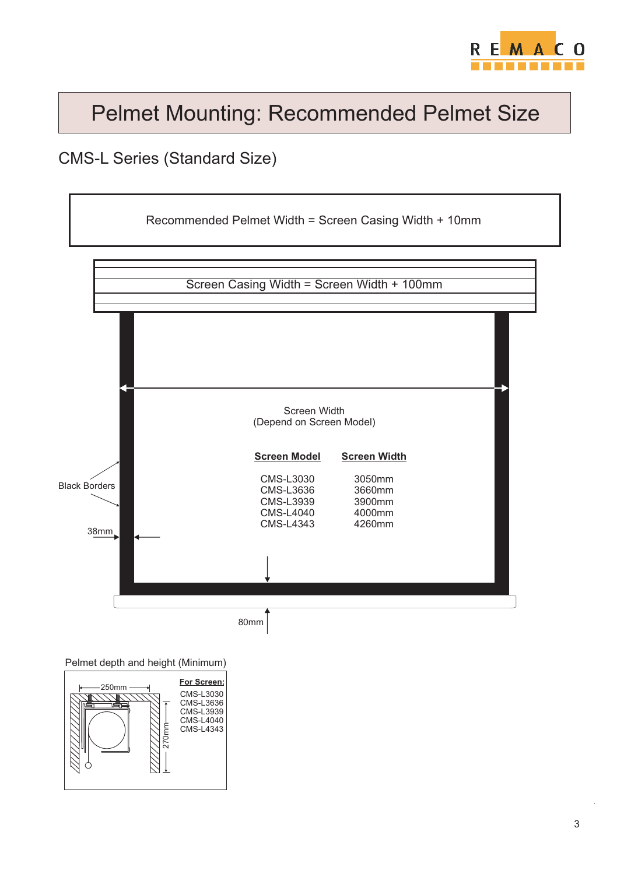

# Pelmet Mounting: Recommended Pelmet Size

## CMS-L Series (Standard Size)



Pelmet depth and height (Minimum)

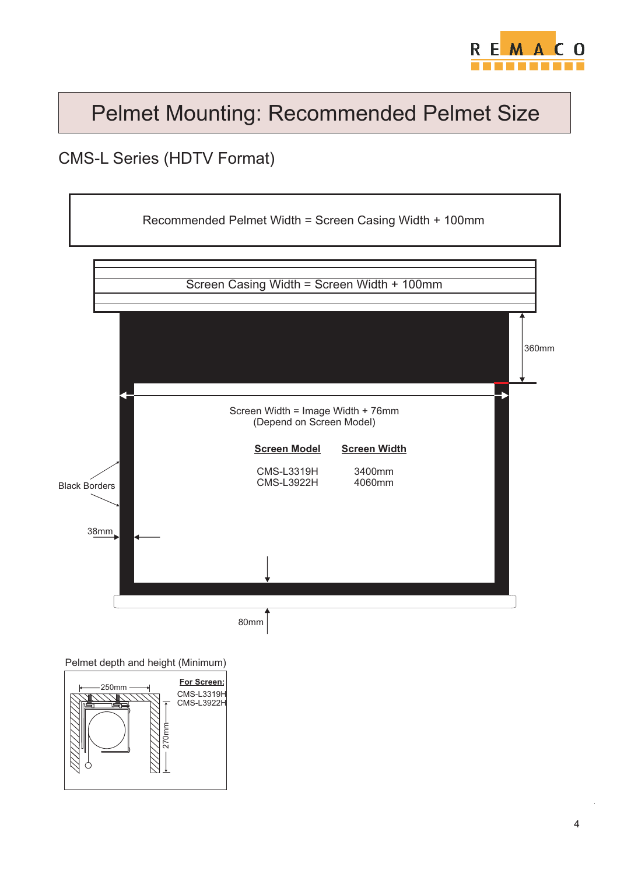

# Pelmet Mounting: Recommended Pelmet Size

### CMS-L Series (HDTV Format)



Pelmet depth and height (Minimum)